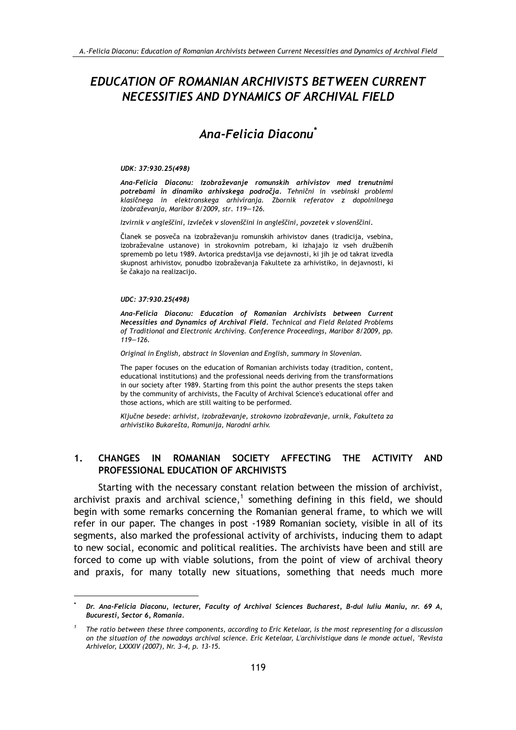## **EDUCATION OF ROMANIAN ARCHIVISTS BETWEEN CURRENT** NECESSITIES AND DYNAMICS OF ARCHIVAL FIELD

# Ana-Felicia Diaconu<sup>\*</sup>

### UDK: 37:930.25(498)

Ana-Felicia Diaconu: Izobraževanje romunskih arhivistov med trenutnimi potrebami in dinamiko arhivskega področja. Tehnični in vsebinski problemi klasičnega in elektronskega arhiviranja. Zbornik referatov z dopolnilnega izobraževanja, Maribor 8/2009, str. 119-126.

Izvirnik v angleščini, izvleček v slovenščini in angleščini, povzetek v slovenščini.

Članek se posveča na izobraževanju romunskih arhivistov danes (tradicija, vsebina, izobraževalne ustanove) in strokovnim potrebam, ki izhajajo iz vseh družbenih sprememb po letu 1989. Avtorica predstavlja vse dejavnosti, ki jih je od takrat izvedla skupnost arhivistov, ponudbo izobraževanja Fakultete za arhivistiko, in dejavnosti, ki še čakajo na realizacijo.

### UDC: 37:930.25(498)

Ana-Felicia Diaconu: Education of Romanian Archivists between Current Necessities and Dynamics of Archival Field. Technical and Field Related Problems of Traditional and Electronic Archiving. Conference Proceedings, Maribor 8/2009, pp.  $119 - 126$ 

Original in English, abstract in Slovenian and English, summary in Slovenian.

The paper focuses on the education of Romanian archivists today (tradition, content, educational institutions) and the professional needs deriving from the transformations in our society after 1989. Starting from this point the author presents the steps taken by the community of archivists, the Faculty of Archival Science's educational offer and those actions, which are still waiting to be performed.

Ključne besede: arhivist, izobraževanje, strokovno izobraževanje, urnik, Fakulteta za arhivistiko Bukarešta, Romunija, Narodni arhiv.

#### $1<sub>1</sub>$ **CHANGES IN ROMANIAN** SOCIETY AFFECTING THE ACTIVITY **AND** PROFESSIONAL EDUCATION OF ARCHIVISTS

Starting with the necessary constant relation between the mission of archivist, archivist praxis and archival science,<sup>1</sup> something defining in this field, we should begin with some remarks concerning the Romanian general frame, to which we will refer in our paper. The changes in post -1989 Romanian society, visible in all of its segments, also marked the professional activity of archivists, inducing them to adapt to new social, economic and political realities. The archivists have been and still are forced to come up with viable solutions, from the point of view of archival theory and praxis, for many totally new situations, something that needs much more

Dr. Ana-Felicia Diaconu, lecturer, Faculty of Archival Sciences Bucharest, B-dul Iuliu Maniu, nr. 69 A, Bucuresti, Sector 6, Romania.

The ratio between these three components, according to Eric Ketelaar, is the most representing for a discussion on the situation of the nowadays archival science. Eric Ketelaar, L'archivistique dans le monde actuel, "Revista Arhivelor, LXXXIV (2007), Nr. 3-4, p. 13-15.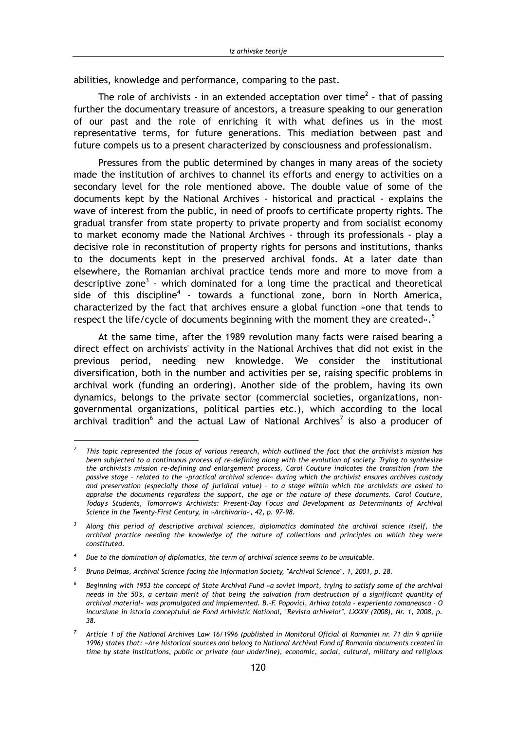abilities, knowledge and performance, comparing to the past.

The role of archivists - in an extended acceptation over time<sup>2</sup> - that of passing further the documentary treasure of ancestors, a treasure speaking to our generation of our past and the role of enriching it with what defines us in the most representative terms, for future generations. This mediation between past and future compels us to a present characterized by consciousness and professionalism.

Pressures from the public determined by changes in many areas of the society made the institution of archives to channel its efforts and energy to activities on a secondary level for the role mentioned above. The double value of some of the documents kept by the National Archives - historical and practical - explains the wave of interest from the public, in need of proofs to certificate property rights. The gradual transfer from state property to private property and from socialist economy to market economy made the National Archives - through its professionals - play a decisive role in reconstitution of property rights for persons and institutions, thanks to the documents kept in the preserved archival fonds. At a later date than elsewhere, the Romanian archival practice tends more and more to move from a descriptive zone<sup>3</sup> - which dominated for a long time the practical and theoretical side of this discipline<sup>4</sup> - towards a functional zone, born in North America, characterized by the fact that archives ensure a global function »one that tends to respect the life/cycle of documents beginning with the moment they are created $\cdot$ .<sup>5</sup>

At the same time, after the 1989 revolution many facts were raised bearing a direct effect on archivists' activity in the National Archives that did not exist in the previous period, needing new knowledge. We consider the institutional diversification, both in the number and activities per se, raising specific problems in archival work (funding an ordering). Another side of the problem, having its own dynamics, belongs to the private sector (commercial societies, organizations, nongovernmental organizations, political parties etc.), which according to the local archival tradition<sup>6</sup> and the actual Law of National Archives<sup>7</sup> is also a producer of

This topic represented the focus of various research, which outlined the fact that the archivist's mission has been subjected to a continuous process of re-defining along with the evolution of society. Trying to synthesize the archivist's mission re-defining and enlargement process, Carol Couture indicates the transition from the passive stage - related to the »practical archival science« during which the archivist ensures archives custody and preservation (especially those of juridical value) - to a stage within which the archivists are asked to appraise the documents regardless the support, the age or the nature of these documents. Carol Couture, Today's Students, Tomorrow's Archivists: Present-Day Focus and Development as Determinants of Archival Science in the Twenty-First Century, in »Archivaria«, 42, p. 97-98.

Along this period of descriptive archival sciences, diplomatics dominated the archival science itself, the archival practice needing the knowledge of the nature of collections and principles on which they were constituted

Due to the domination of diplomatics, the term of archival science seems to be unsuitable.

Bruno Delmas, Archival Science facing the Information Society, "Archival Science", 1, 2001, p. 28.

Beginning with 1953 the concept of State Archival Fund »a soviet import, trying to satisfy some of the archival needs in the 50's, a certain merit of that being the salvation from destruction of a significant quantity of archival material« was promulgated and implemented. B.-F. Popovici, Arhiva totala - experienta romaneasca - O incursiune in istoria conceptului de Fond Arhivistic National, "Revista arhivelor", LXXXV (2008), Nr. 1, 2008, p. 38.

Article 1 of the National Archives Law 16/1996 (published in Monitorul Oficial al Romaniei nr. 71 din 9 aprilie 1996) states that: »Are historical sources and belong to National Archival Fund of Romania documents created in time by state institutions, public or private (our underline), economic, social, cultural, military and religious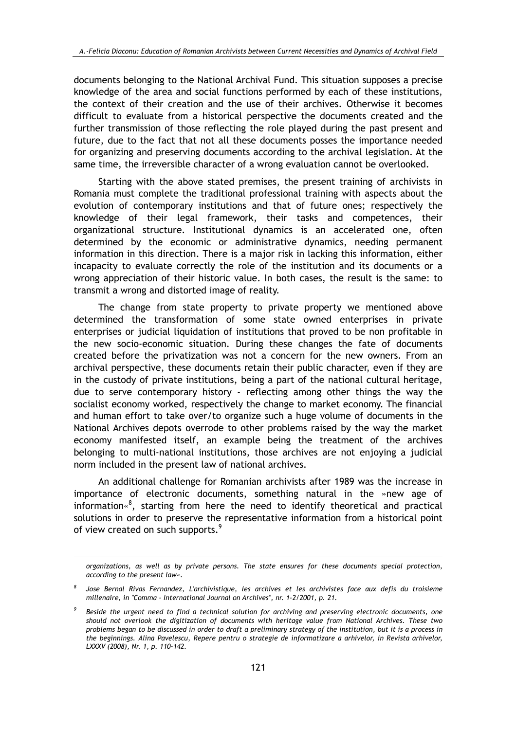documents belonging to the National Archival Fund. This situation supposes a precise knowledge of the area and social functions performed by each of these institutions, the context of their creation and the use of their archives. Otherwise it becomes difficult to evaluate from a historical perspective the documents created and the further transmission of those reflecting the role played during the past present and future, due to the fact that not all these documents posses the importance needed for organizing and preserving documents according to the archival legislation. At the same time, the irreversible character of a wrong evaluation cannot be overlooked.

Starting with the above stated premises, the present training of archivists in Romania must complete the traditional professional training with aspects about the evolution of contemporary institutions and that of future ones; respectively the knowledge of their legal framework, their tasks and competences, their organizational structure. Institutional dynamics is an accelerated one, often determined by the economic or administrative dynamics, needing permanent information in this direction. There is a major risk in lacking this information, either incapacity to evaluate correctly the role of the institution and its documents or a wrong appreciation of their historic value. In both cases, the result is the same: to transmit a wrong and distorted image of reality.

The change from state property to private property we mentioned above determined the transformation of some state owned enterprises in private enterprises or judicial liquidation of institutions that proved to be non profitable in the new socio-economic situation. During these changes the fate of documents created before the privatization was not a concern for the new owners. From an archival perspective, these documents retain their public character, even if they are in the custody of private institutions, being a part of the national cultural heritage, due to serve contemporary history - reflecting among other things the way the socialist economy worked, respectively the change to market economy. The financial and human effort to take over/to organize such a huge volume of documents in the National Archives depots overrode to other problems raised by the way the market economy manifested itself, an example being the treatment of the archives belonging to multi-national institutions, those archives are not enjoying a judicial norm included in the present law of national archives.

An additional challenge for Romanian archivists after 1989 was the increase in importance of electronic documents, something natural in the »new age of information«<sup>8</sup>, starting from here the need to identify theoretical and practical solutions in order to preserve the representative information from a historical point of view created on such supports.<sup>9</sup>

organizations, as well as by private persons. The state ensures for these documents special protection, according to the present law«.

Jose Bernal Rivas Fernandez, L'archivistique, les archives et les archivistes face aux defis du troisieme millenaire, in "Comma - International Journal on Archives", nr. 1-2/2001, p. 21.

Beside the urgent need to find a technical solution for archiving and preserving electronic documents, one should not overlook the digitization of documents with heritage value from National Archives. These two problems began to be discussed in order to draft a preliminary strategy of the institution, but it is a process in the beginnings. Aling Payelescu, Repere pentru o strategie de informatizare a arhivelor, in Revista arhivelor, LXXXV (2008), Nr. 1, p. 110-142.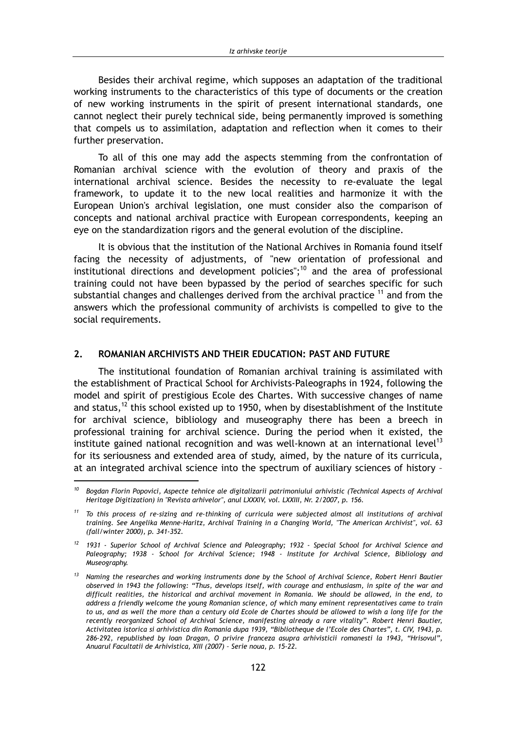Besides their archival regime, which supposes an adaptation of the traditional working instruments to the characteristics of this type of documents or the creation of new working instruments in the spirit of present international standards, one cannot neglect their purely technical side, being permanently improved is something that compels us to assimilation, adaptation and reflection when it comes to their further preservation.

To all of this one may add the aspects stemming from the confrontation of Romanian archival science with the evolution of theory and praxis of the international archival science. Besides the necessity to re-evaluate the legal framework, to update it to the new local realities and harmonize it with the European Union's archival legislation, one must consider also the comparison of concepts and national archival practice with European correspondents, keeping an eye on the standardization rigors and the general evolution of the discipline.

It is obvious that the institution of the National Archives in Romania found itself facing the necessity of adjustments, of "new orientation of professional and institutional directions and development policies";<sup>10</sup> and the area of professional training could not have been bypassed by the period of searches specific for such substantial changes and challenges derived from the archival practice <sup>11</sup> and from the answers which the professional community of archivists is compelled to give to the social requirements.

#### $2.$ ROMANIAN ARCHIVISTS AND THEIR EDUCATION: PAST AND FUTURE

The institutional foundation of Romanian archival training is assimilated with the establishment of Practical School for Archivists-Paleographs in 1924, following the model and spirit of prestigious Ecole des Chartes. With successive changes of name and status,<sup>12</sup> this school existed up to 1950, when by disestablishment of the Institute for archival science, bibliology and museography there has been a breech in professional training for archival science. During the period when it existed, the institute gained national recognition and was well-known at an international level<sup>13</sup> for its seriousness and extended area of study, aimed, by the nature of its curricula, at an integrated archival science into the spectrum of auxiliary sciences of history -

Bogdan Florin Popovici, Aspecte tehnice ale digitalizarii patrimoniului arhivistic (Technical Aspects of Archival Heritage Digitization) in "Revista arhivelor", anul LXXXIV, vol. LXXIII, Nr. 2/2007, p. 156.

 $11$  To this process of re-sizing and re-thinking of curricula were subjected almost all institutions of archival training. See Angelika Menne-Haritz, Archival Training in a Changing World, "The American Archivist", vol. 63 (fall/winter 2000), p. 341-352.

<sup>&</sup>lt;sup>12</sup> 1931 - Superior School of Archival Science and Paleography; 1932 - Special School for Archival Science and Paleography; 1938 - School for Archival Science; 1948 - Institute for Archival Science, Bibliology and Museography.

<sup>&</sup>lt;sup>13</sup> Naming the researches and working instruments done by the School of Archival Science, Robert Henri Bautier observed in 1943 the following: "Thus, develops itself, with courage and enthusiasm, in spite of the war and difficult realities, the historical and archival movement in Romania. We should be allowed, in the end, to address a friendly welcome the young Romanian science, of which many eminent representatives came to train to us, and as well the more than a century old Ecole de Chartes should be allowed to wish a long life for the recently reorganized School of Archival Science, manifesting already a rare vitality". Robert Henri Bautier, Activitatea istorica si arhivistica din Romania dupa 1939, "Bibliotheque de l'Ecole des Chartes", t. CIV, 1943, p. 286-292, republished by Ioan Dragan, O privire franceza asupra arhivisticii romanesti la 1943, "Hrisovul", Anuarul Facultatii de Arhivistica, XIII (2007) - Serie noua, p. 15-22.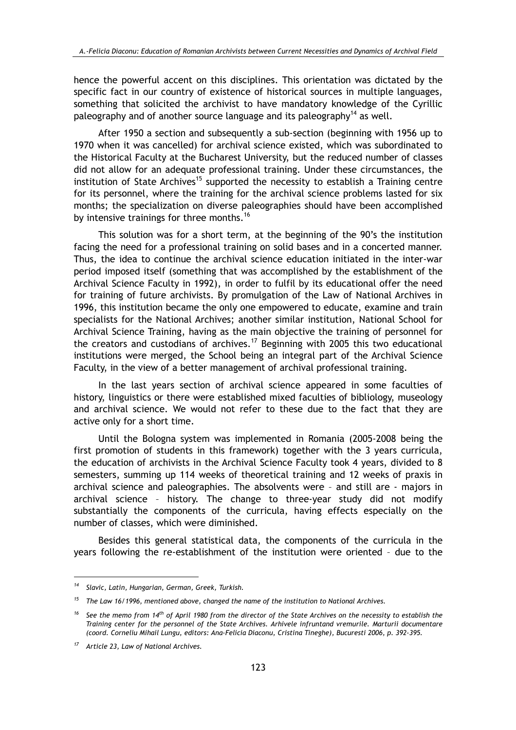hence the powerful accent on this disciplines. This orientation was dictated by the specific fact in our country of existence of historical sources in multiple languages, something that solicited the archivist to have mandatory knowledge of the Cyrillic paleography and of another source language and its paleography<sup>14</sup> as well.

After 1950 a section and subsequently a sub-section (beginning with 1956 up to 1970 when it was cancelled) for archival science existed, which was subordinated to the Historical Faculty at the Bucharest University, but the reduced number of classes did not allow for an adequate professional training. Under these circumstances, the institution of State Archives<sup>15</sup> supported the necessity to establish a Training centre for its personnel, where the training for the archival science problems lasted for six months; the specialization on diverse paleographies should have been accomplished by intensive trainings for three months.<sup>16</sup>

This solution was for a short term, at the beginning of the 90's the institution facing the need for a professional training on solid bases and in a concerted manner. Thus, the idea to continue the archival science education initiated in the inter-war period imposed itself (something that was accomplished by the establishment of the Archival Science Faculty in 1992), in order to fulfil by its educational offer the need for training of future archivists. By promulgation of the Law of National Archives in 1996, this institution became the only one empowered to educate, examine and train specialists for the National Archives; another similar institution, National School for Archival Science Training, having as the main objective the training of personnel for the creators and custodians of archives.<sup>17</sup> Beginning with 2005 this two educational institutions were merged, the School being an integral part of the Archival Science Faculty, in the view of a better management of archival professional training.

In the last years section of archival science appeared in some faculties of history, linguistics or there were established mixed faculties of bibliology, museology and archival science. We would not refer to these due to the fact that they are active only for a short time.

Until the Bologna system was implemented in Romania (2005-2008 being the first promotion of students in this framework) together with the 3 years curricula, the education of archivists in the Archival Science Faculty took 4 years, divided to 8 semesters, summing up 114 weeks of theoretical training and 12 weeks of praxis in archival science and paleographies. The absolvents were - and still are - majors in archival science - history. The change to three-year study did not modify substantially the components of the curricula, having effects especially on the number of classes, which were diminished.

Besides this general statistical data, the components of the curricula in the years following the re-establishment of the institution were oriented - due to the

<sup>&</sup>lt;sup>14</sup> Slavic, Latin, Hungarian, German, Greek, Turkish.

 $15$  The Law 16/1996, mentioned above, changed the name of the institution to National Archives.

<sup>&</sup>lt;sup>16</sup> See the memo from 14<sup>th</sup> of April 1980 from the director of the State Archives on the necessity to establish the Training center for the personnel of the State Archives. Arhivele infruntand vremurile. Marturii documentare (coord, Corneliu Mihail Lungu, editors: Ana-Felicia Diaconu, Cristina Tineghe), Bucuresti 2006, p. 392-395.

<sup>&</sup>lt;sup>17</sup> Article 23, Law of National Archives.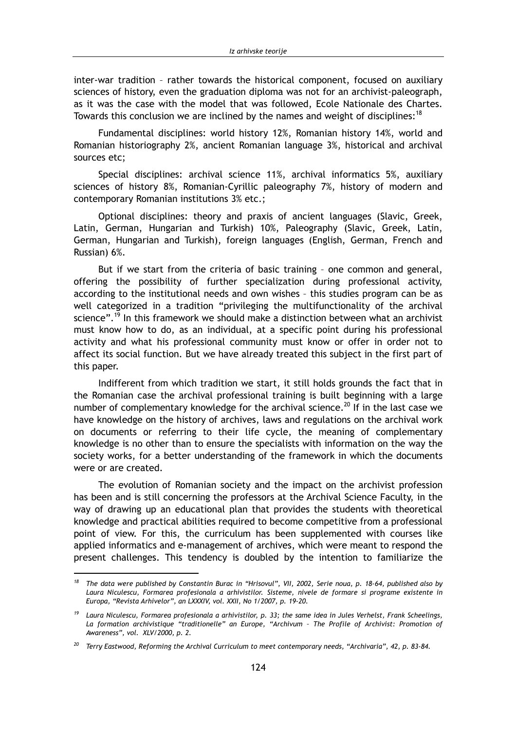inter-war tradition - rather towards the historical component, focused on auxiliary sciences of history, even the graduation diploma was not for an archivist-paleograph, as it was the case with the model that was followed, Ecole Nationale des Chartes. Towards this conclusion we are inclined by the names and weight of disciplines:<sup>18</sup>

Fundamental disciplines: world history 12%, Romanian history 14%, world and Romanian historiography 2%, ancient Romanian language 3%, historical and archival sources etc:

Special disciplines: archival science 11%, archival informatics 5%. auxiliarv sciences of history 8%, Romanian-Cyrillic paleography 7%, history of modern and contemporary Romanian institutions 3% etc.;

Optional disciplines: theory and praxis of ancient languages (Slavic, Greek, Latin, German, Hungarian and Turkish) 10%, Paleography (Slavic, Greek, Latin, German, Hungarian and Turkish), foreign languages (English, German, French and Russian) 6%.

But if we start from the criteria of basic training - one common and general, offering the possibility of further specialization during professional activity. according to the institutional needs and own wishes - this studies program can be as well categorized in a tradition "privileging the multifunctionality of the archival science".<sup>19</sup> In this framework we should make a distinction between what an archivist must know how to do, as an individual, at a specific point during his professional activity and what his professional community must know or offer in order not to affect its social function. But we have already treated this subject in the first part of this paper.

Indifferent from which tradition we start, it still holds grounds the fact that in the Romanian case the archival professional training is built beginning with a large number of complementary knowledge for the archival science.<sup>20</sup> If in the last case we have knowledge on the history of archives, laws and regulations on the archival work on documents or referring to their life cycle, the meaning of complementary knowledge is no other than to ensure the specialists with information on the way the society works, for a better understanding of the framework in which the documents were or are created.

The evolution of Romanian society and the impact on the archivist profession has been and is still concerning the professors at the Archival Science Faculty, in the way of drawing up an educational plan that provides the students with theoretical knowledge and practical abilities required to become competitive from a professional point of view. For this, the curriculum has been supplemented with courses like applied informatics and e-management of archives, which were meant to respond the present challenges. This tendency is doubled by the intention to familiarize the

<sup>&</sup>lt;sup>18</sup> The data were published by Constantin Burac in "Hrisovul", VII, 2002, Serie noua, p. 18-64, published also by Laura Niculescu, Formarea profesionala a arhivistilor. Sisteme, nivele de formare si programe existente in Europa, "Revista Arhivelor", an LXXXIV, vol. XXII, No 1/2007, p. 19-20.

<sup>&</sup>lt;sup>19</sup> Laura Niculescu, Formarea profesionala a arhivistilor, p. 33; the same idea in Jules Verhelst, Frank Scheelings, La formation archivistique "traditionelle" an Europe, "Archivum - The Profile of Archivist: Promotion of Awareness", vol. XLV/2000, p. 2.

 $20$  Terry Eastwood, Reforming the Archival Curriculum to meet contemporary needs, "Archivaria", 42, p. 83-84.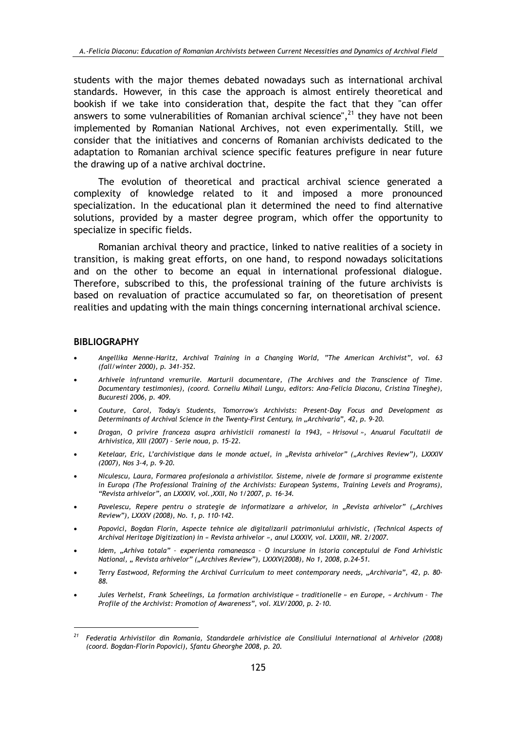students with the major themes debated nowadays such as international archival standards. However, in this case the approach is almost entirely theoretical and bookish if we take into consideration that, despite the fact that they "can offer answers to some vulnerabilities of Romanian archival science",  $21$  they have not been implemented by Romanian National Archives, not even experimentally. Still, we consider that the initiatives and concerns of Romanian archivists dedicated to the adaptation to Romanian archival science specific features prefigure in near future the drawing up of a native archival doctrine.

The evolution of theoretical and practical archival science generated a complexity of knowledge related to it and imposed a more pronounced specialization. In the educational plan it determined the need to find alternative solutions, provided by a master degree program, which offer the opportunity to specialize in specific fields.

Romanian archival theory and practice, linked to native realities of a society in transition, is making great efforts, on one hand, to respond nowadays solicitations and on the other to become an equal in international professional dialogue. Therefore, subscribed to this, the professional training of the future archivists is based on revaluation of practice accumulated so far, on theoretisation of present realities and updating with the main things concerning international archival science.

### **BIBLIOGRAPHY**

- Angellika Menne-Haritz, Archival Training in a Changing World, "The American Archivist", vol. 63 (fall/winter 2000), p. 341-352.
- Arhivele infruntand vremurile. Marturii documentare, (The Archives and the Transcience of Time. Documentary testimonies), (coord. Corneliu Mihail Lungu, editors: Ana-Felicia Diaconu, Cristina Tineghe), Bucuresti 2006, p. 409.
- Couture, Carol, Today's Students, Tomorrow's Archivists: Present-Day Focus and Development as Determinants of Archival Science in the Twenty-First Century, in "Archivaria", 42, p. 9-20.
- Dragan, O privire franceza asupra arhivisticii romanesti la 1943, « Hrisovul », Anuarul Facultatii de Arhivistica, XIII (2007) - Serie noua, p. 15-22.
- Ketelaar, Eric, L'archivistique dans le monde actuel, in "Revista arhivelor" ("Archives Review"), LXXXIV (2007), Nos 3-4, p. 9-20.
- Niculescu, Laura, Formarea profesionala a arhivistilor. Sisteme, nivele de formare si programme existente in Europa (The Professional Training of the Archivists: European Systems, Training Levels and Programs), "Revista arhivelor", an LXXXIV, vol., XXII, No 1/2007, p. 16-34.
- Pavelescu, Repere pentru o strategie de informatizare a arhivelor, in "Revista arhivelor" ("Archives Review"), LXXXV (2008), No. 1, p. 110-142.
- Popovici, Bogdan Florin, Aspecte tehnice ale digitalizarii patrimoniului arhivistic, (Technical Aspects of Archival Heritage Digitization) in « Revista arhivelor », anul LXXXIV, vol. LXXIII, NR. 2/2007.
- Idem, "Arhiva totala" experienta romaneasca O incursiune in istoria conceptului de Fond Arhivistic National, "Revista arhivelor" ("Archives Review"), LXXXV(2008), No 1, 2008, p.24-51.
- Terry Eastwood, Reforming the Archival Curriculum to meet contemporary needs, "Archivaria", 42, p. 80-88.
- Jules Verhelst, Frank Scheelings, La formation archivistique « traditionelle » en Europe, « Archivum The Profile of the Archivist: Promotion of Awareness", vol. XLV/2000, p. 2-10.

<sup>&</sup>lt;sup>21</sup> Federatia Arhivistilor din Romania, Standardele arhivistice ale Consiliului International al Arhivelor (2008) (coord. Bogdan-Florin Popovici), Sfantu Gheorghe 2008, p. 20.